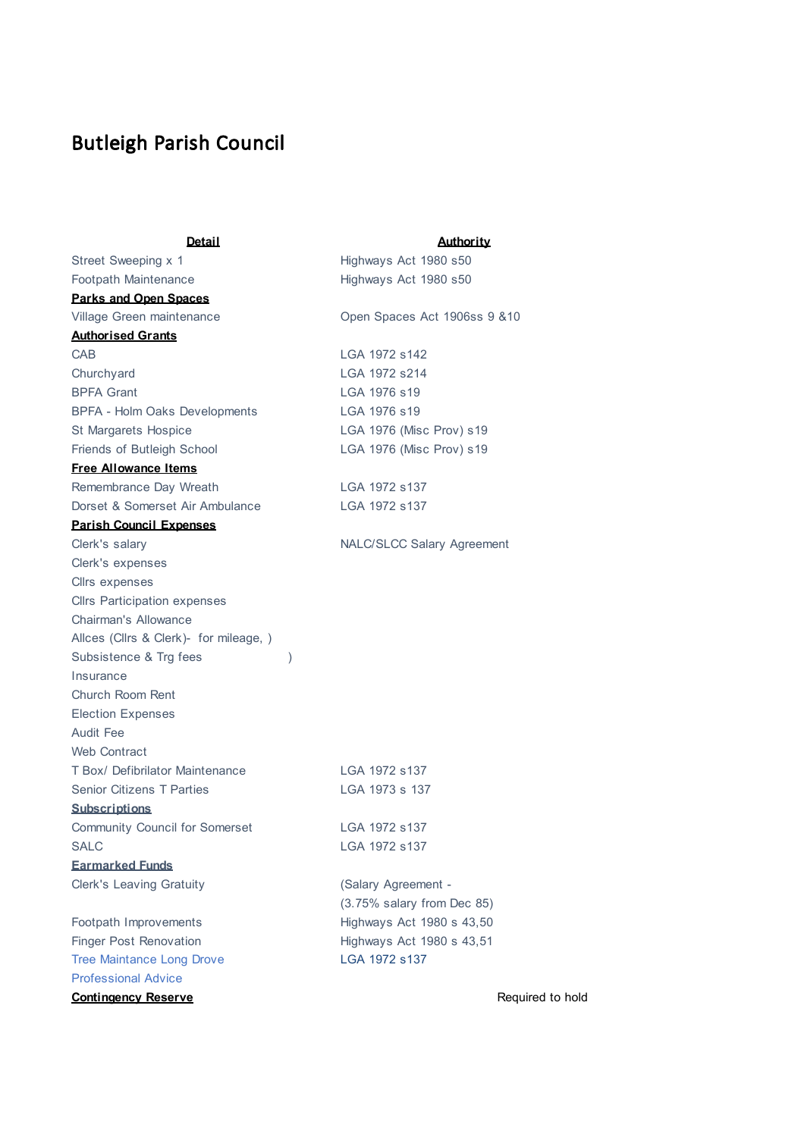## Butleigh Parish Council

| <b>Detail</b>                          |               | <u>Authority</u>                  |
|----------------------------------------|---------------|-----------------------------------|
| Street Sweeping x 1                    |               | Highways Act 1980 s50             |
| <b>Footpath Maintenance</b>            |               | Highways Act 1980 s50             |
| <b>Parks and Open Spaces</b>           |               |                                   |
| Village Green maintenance              |               | Open Spaces Act 1906ss 9 & 10     |
| <b>Authorised Grants</b>               |               |                                   |
| <b>CAB</b>                             |               | LGA 1972 s142                     |
| Churchyard                             |               | LGA 1972 s214                     |
| <b>BPFA Grant</b>                      |               | LGA 1976 s19                      |
| BPFA - Holm Oaks Developments          |               | LGA 1976 s19                      |
| St Margarets Hospice                   |               | LGA 1976 (Misc Prov) s19          |
| Friends of Butleigh School             |               | LGA 1976 (Misc Prov) s19          |
| <b>Free Allowance Items</b>            |               |                                   |
| Remembrance Day Wreath                 |               | LGA 1972 s137                     |
| Dorset & Somerset Air Ambulance        |               | LGA 1972 s137                     |
| <b>Parish Council Expenses</b>         |               |                                   |
| Clerk's salary                         |               | <b>NALC/SLCC Salary Agreement</b> |
| Clerk's expenses                       |               |                                   |
| Cllrs expenses                         |               |                                   |
| <b>Cllrs Participation expenses</b>    |               |                                   |
| <b>Chairman's Allowance</b>            |               |                                   |
| Allces (Cllrs & Clerk)- for mileage, ) |               |                                   |
| Subsistence & Trg fees                 | $\mathcal{E}$ |                                   |
| Insurance                              |               |                                   |
| Church Room Rent                       |               |                                   |
| <b>Election Expenses</b>               |               |                                   |
| Audit Fee                              |               |                                   |
| Web Contract                           |               |                                   |
| T Box/ Defibrilator Maintenance        |               | LGA 1972 s137                     |
| <b>Senior Citizens T Parties</b>       |               | LGA 1973 s 137                    |
| <b>Subscriptions</b>                   |               |                                   |
| <b>Community Council for Somerset</b>  |               | LGA 1972 s137                     |
| SALC                                   |               | LGA 1972 s137                     |
| <b>Earmarked Funds</b>                 |               |                                   |
| <b>Clerk's Leaving Gratuity</b>        |               | (Salary Agreement -               |
|                                        |               | (3.75% salary from Dec 85)        |
| Footpath Improvements                  |               | Highways Act 1980 s 43,50         |
| <b>Finger Post Renovation</b>          |               | Highways Act 1980 s 43,51         |
| <b>Tree Maintance Long Drove</b>       |               | LGA 1972 s137                     |
| <b>Professional Advice</b>             |               |                                   |
| <b>Contingency Reserve</b>             |               | Required                          |

**Required to hold**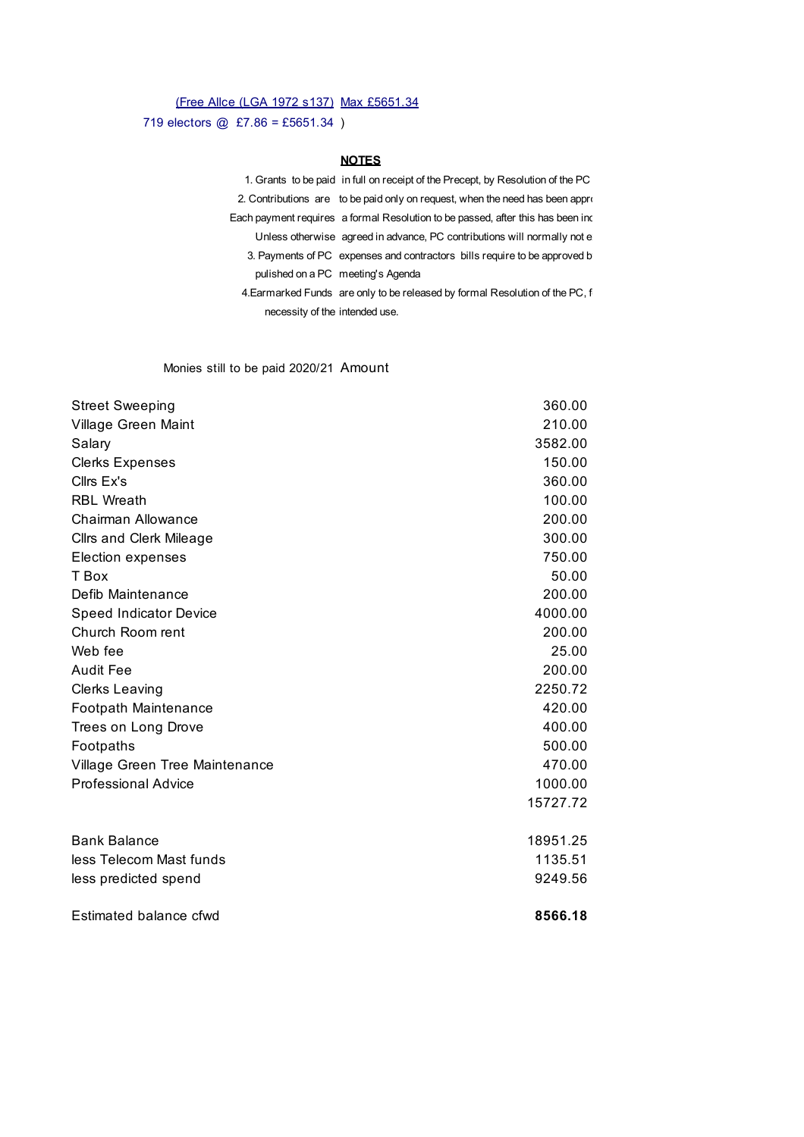#### (Free Allce (LGA 1972 s137) Max £5651.34

719 electors @ £7.86 = £5651.34 )

#### **NOTES**

1. Grants to be paid in full on receipt of the Precept, by Resolution of the PC 2. Contributions are to be paid only on request, when the need has been approximate  $P$ Each payment requires a formal Resolution to be passed, after this has been inc Unless otherwise agreed in advance, PC contributions will normally not e 3. Payments of PC expenses and contractors bills require to be approved b pulished on a PC meeting's Agenda 4. Earmarked Funds are only to be released by formal Resolution of the PC, f

necessity of the intended use.

#### Monies still to be paid 2020/21 Amount

| <b>Street Sweeping</b>         | 360.00   |
|--------------------------------|----------|
| Village Green Maint            | 210.00   |
| Salary                         | 3582.00  |
| <b>Clerks Expenses</b>         | 150.00   |
| Cllrs Ex's                     | 360.00   |
| <b>RBL Wreath</b>              | 100.00   |
| Chairman Allowance             | 200.00   |
| <b>Cllrs and Clerk Mileage</b> | 300.00   |
| Election expenses              | 750.00   |
| T Box                          | 50.00    |
| Defib Maintenance              | 200.00   |
| <b>Speed Indicator Device</b>  | 4000.00  |
| Church Room rent               | 200.00   |
| Web fee                        | 25.00    |
| <b>Audit Fee</b>               | 200.00   |
| <b>Clerks Leaving</b>          | 2250.72  |
| Footpath Maintenance           | 420.00   |
| Trees on Long Drove            | 400.00   |
| Footpaths                      | 500.00   |
| Village Green Tree Maintenance | 470.00   |
| <b>Professional Advice</b>     | 1000.00  |
|                                | 15727.72 |
| <b>Bank Balance</b>            | 18951.25 |
| less Telecom Mast funds        | 1135.51  |
| less predicted spend           | 9249.56  |
| Estimated balance cfwd         | 8566.18  |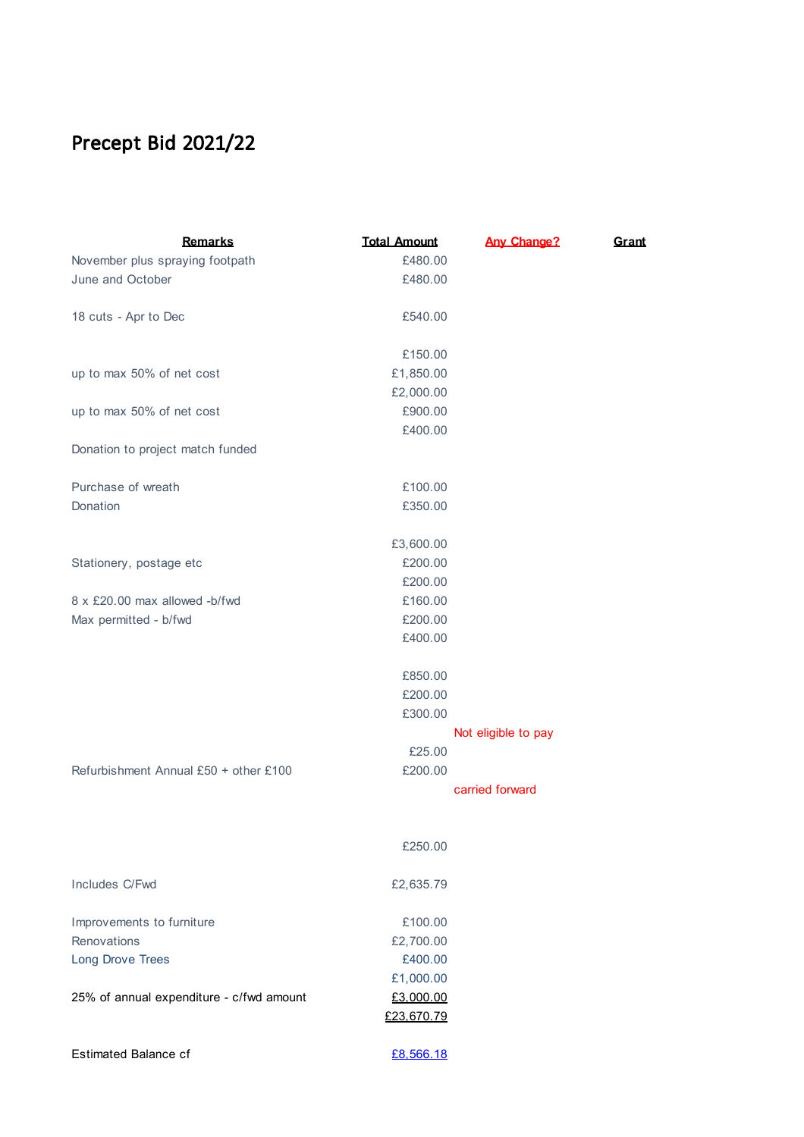# Precept Bid 2021/22

| <b>Remarks</b>                           | <b>Total Amount</b> | <b>Any Change?</b>  | Grant |
|------------------------------------------|---------------------|---------------------|-------|
| November plus spraying footpath          | £480.00             |                     |       |
| June and October                         | £480.00             |                     |       |
|                                          |                     |                     |       |
| 18 cuts - Apr to Dec                     | £540.00             |                     |       |
|                                          |                     |                     |       |
|                                          | £150.00             |                     |       |
| up to max 50% of net cost                | £1,850.00           |                     |       |
|                                          | £2,000.00           |                     |       |
| up to max 50% of net cost                | £900.00             |                     |       |
|                                          | £400.00             |                     |       |
| Donation to project match funded         |                     |                     |       |
|                                          |                     |                     |       |
| Purchase of wreath                       | £100.00             |                     |       |
| Donation                                 | £350.00             |                     |       |
|                                          |                     |                     |       |
|                                          | £3,600.00           |                     |       |
| Stationery, postage etc                  | £200.00             |                     |       |
|                                          | £200.00             |                     |       |
| 8 x £20,00 max allowed -b/fwd            | £160.00             |                     |       |
| Max permitted - b/fwd                    | £200.00             |                     |       |
|                                          | £400.00             |                     |       |
|                                          |                     |                     |       |
|                                          | £850.00             |                     |       |
|                                          | £200.00<br>£300.00  |                     |       |
|                                          |                     | Not eligible to pay |       |
|                                          | £25.00              |                     |       |
| Refurbishment Annual £50 + other £100    | £200.00             |                     |       |
|                                          |                     | carried forward     |       |
|                                          |                     |                     |       |
|                                          |                     |                     |       |
|                                          | £250.00             |                     |       |
|                                          |                     |                     |       |
| Includes C/Fwd                           | £2,635.79           |                     |       |
|                                          |                     |                     |       |
| Improvements to furniture                | £100.00             |                     |       |
| Renovations                              | £2,700.00           |                     |       |
| <b>Long Drove Trees</b>                  | £400.00             |                     |       |
|                                          | £1,000.00           |                     |       |
| 25% of annual expenditure - c/fwd amount | £3,000.00           |                     |       |
|                                          | £23,670.79          |                     |       |
|                                          |                     |                     |       |
| <b>Estimated Balance cf</b>              | £8,566.18           |                     |       |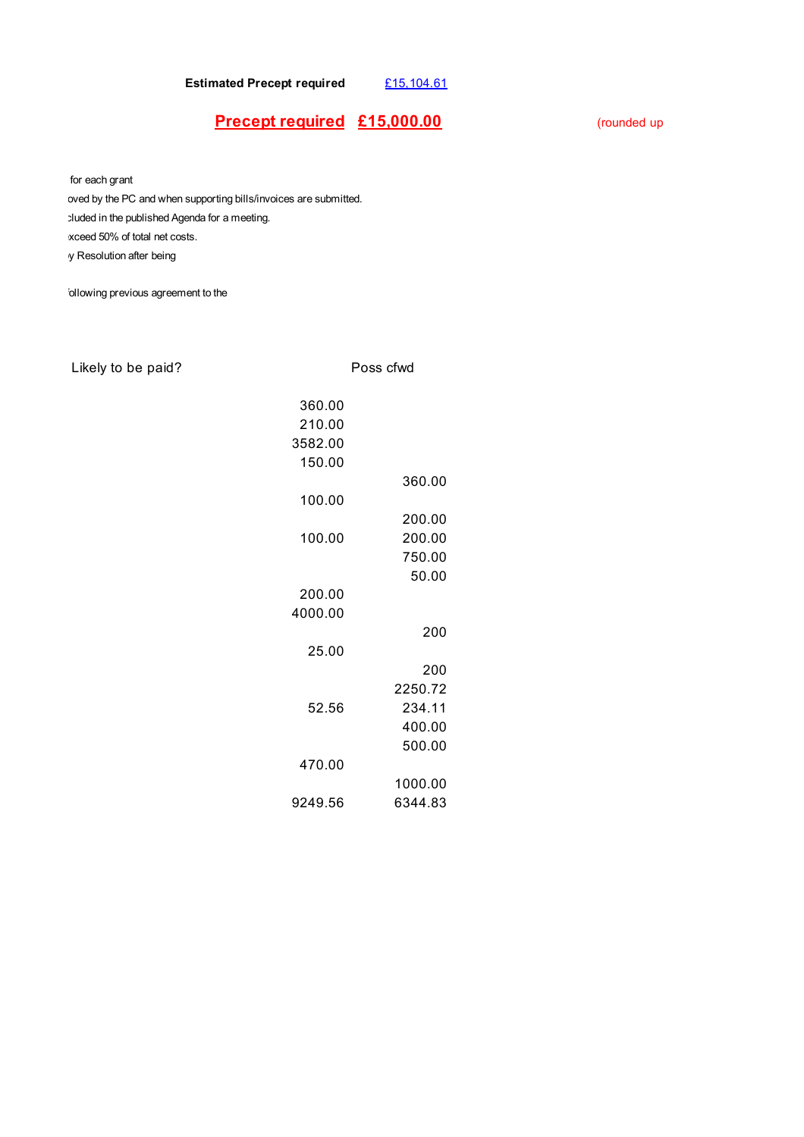**Estimated Precept required** £15,104.61

### **Precept required**  $£15,000.00$  (rounded up

for each grant

bved by the PC and when supporting bills/invoices are submitted. cluded in the published Agenda for a meeting. xceed 50% of total net costs. y Resolution after being

ollowing previous agreement to the

### Likely to be paid? Poss cfwd

| 360.00  |         |
|---------|---------|
| 210.00  |         |
| 3582.00 |         |
| 150.00  |         |
|         | 360.00  |
| 100.00  |         |
|         |         |
|         | 200.00  |
| 100.00  | 200.00  |
|         | 750.00  |
|         | 50.00   |
| 200.00  |         |
| 4000.00 |         |
|         | 200     |
| 25.00   |         |
|         | 200     |
|         | 2250.72 |
|         |         |
| 52.56   | 234.11  |
|         | 400.00  |
|         | 500.00  |
| 470.00  |         |
|         | 1000.00 |
| 9249.56 | 6344.83 |
|         |         |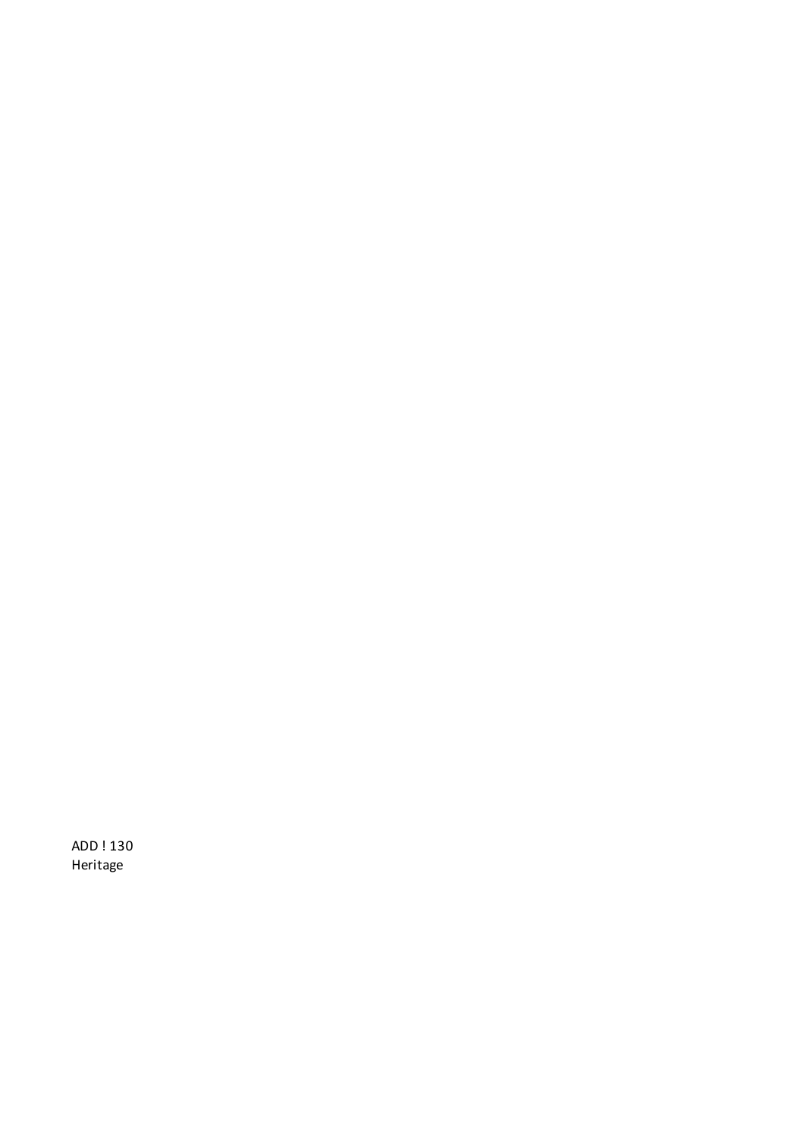ADD ! 130 Heritage